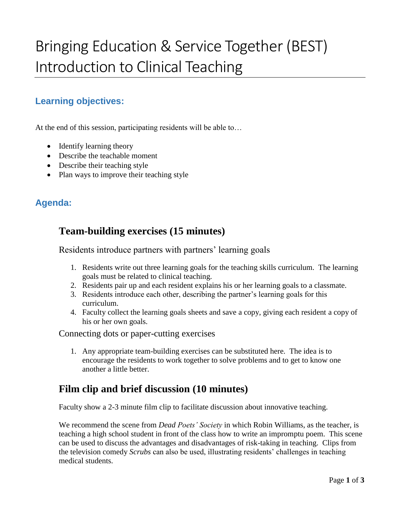# Bringing Education & Service Together (BEST) Introduction to Clinical Teaching

## **Learning objectives:**

At the end of this session, participating residents will be able to…

- Identify learning theory
- Describe the teachable moment
- Describe their teaching style
- Plan ways to improve their teaching style

#### **Agenda:**

## **Team-building exercises (15 minutes)**

Residents introduce partners with partners' learning goals

- 1. Residents write out three learning goals for the teaching skills curriculum. The learning goals must be related to clinical teaching.
- 2. Residents pair up and each resident explains his or her learning goals to a classmate.
- 3. Residents introduce each other, describing the partner's learning goals for this curriculum.
- 4. Faculty collect the learning goals sheets and save a copy, giving each resident a copy of his or her own goals.

Connecting dots or paper-cutting exercises

1. Any appropriate team-building exercises can be substituted here. The idea is to encourage the residents to work together to solve problems and to get to know one another a little better.

#### **Film clip and brief discussion (10 minutes)**

Faculty show a 2-3 minute film clip to facilitate discussion about innovative teaching.

We recommend the scene from *Dead Poets' Society* in which Robin Williams, as the teacher, is teaching a high school student in front of the class how to write an impromptu poem. This scene can be used to discuss the advantages and disadvantages of risk-taking in teaching. Clips from the television comedy *Scrubs* can also be used, illustrating residents' challenges in teaching medical students.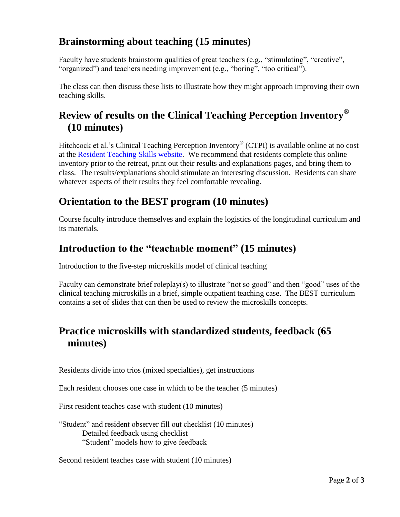## **Brainstorming about teaching (15 minutes)**

Faculty have students brainstorm qualities of great teachers (e.g., "stimulating", "creative", "organized") and teachers needing improvement (e.g., "boring", "too critical").

The class can then discuss these lists to illustrate how they might approach improving their own teaching skills.

# **Review of results on the Clinical Teaching Perception Inventory® (10 minutes)**

Hitchcock et al.'s Clinical Teaching Perception Inventory® (CTPI) is available online at no cost at the [Resident Teaching Skills website.](residentteachingskills.ucr.edu/clinical-teaching-perception-inventory-ctpi) We recommend that residents complete this online inventory prior to the retreat, print out their results and explanations pages, and bring them to class. The results/explanations should stimulate an interesting discussion. Residents can share whatever aspects of their results they feel comfortable revealing.

## **Orientation to the BEST program (10 minutes)**

Course faculty introduce themselves and explain the logistics of the longitudinal curriculum and its materials.

## **Introduction to the "teachable moment" (15 minutes)**

Introduction to the five-step microskills model of clinical teaching

Faculty can demonstrate brief roleplay(s) to illustrate "not so good" and then "good" uses of the clinical teaching microskills in a brief, simple outpatient teaching case. The BEST curriculum contains a set of slides that can then be used to review the microskills concepts.

## **Practice microskills with standardized students, feedback (65 minutes)**

Residents divide into trios (mixed specialties), get instructions

Each resident chooses one case in which to be the teacher (5 minutes)

First resident teaches case with student (10 minutes)

"Student" and resident observer fill out checklist (10 minutes) Detailed feedback using checklist "Student" models how to give feedback

Second resident teaches case with student (10 minutes)